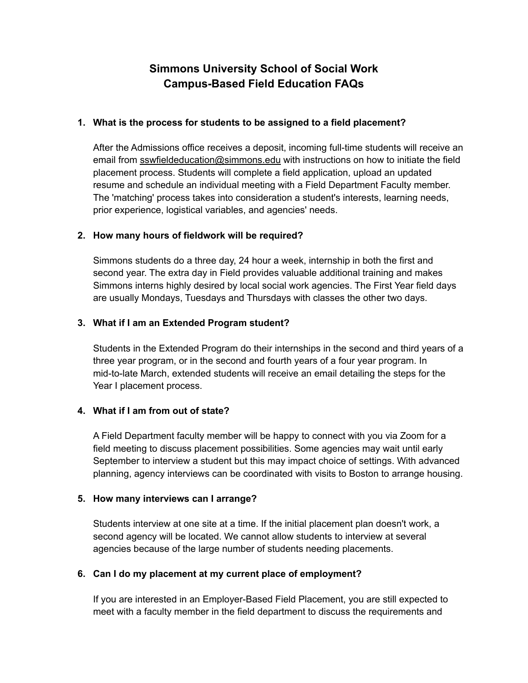# **Simmons University School of Social Work Campus-Based Field Education FAQs**

#### **1. What is the process for students to be assigned to a field placement?**

 After the Admissions office receives a deposit, incoming full-time students will receive an email from [sswfieldeducation@simmons.edu](mailto:sswfieldeducation@simmons.edu) with instructions on how to initiate the field placement process. Students will complete a field application, upload an updated resume and schedule an individual meeting with a Field Department Faculty member. The 'matching' process takes into consideration a student's interests, learning needs, prior experience, logistical variables, and agencies' needs.

## **2. How many hours of fieldwork will be required?**

 Simmons students do a three day, 24 hour a week, internship in both the first and second year. The extra day in Field provides valuable additional training and makes Simmons interns highly desired by local social work agencies. The First Year field days are usually Mondays, Tuesdays and Thursdays with classes the other two days.

## **3. What if I am an Extended Program student?**

 Students in the Extended Program do their internships in the second and third years of a three year program, or in the second and fourth years of a four year program. In mid-to-late March, extended students will receive an email detailing the steps for the Year I placement process.

# **4. What if I am from out of state?**

 A Field Department faculty member will be happy to connect with you via Zoom for a field meeting to discuss placement possibilities. Some agencies may wait until early September to interview a student but this may impact choice of settings. With advanced planning, agency interviews can be coordinated with visits to Boston to arrange housing.

#### **5. How many interviews can I arrange?**

 Students interview at one site at a time. If the initial placement plan doesn't work, a second agency will be located. We cannot allow students to interview at several agencies because of the large number of students needing placements.

# **6. Can I do my placement at my current place of employment?**

 If you are interested in an Employer-Based Field Placement, you are still expected to meet with a faculty member in the field department to discuss the requirements and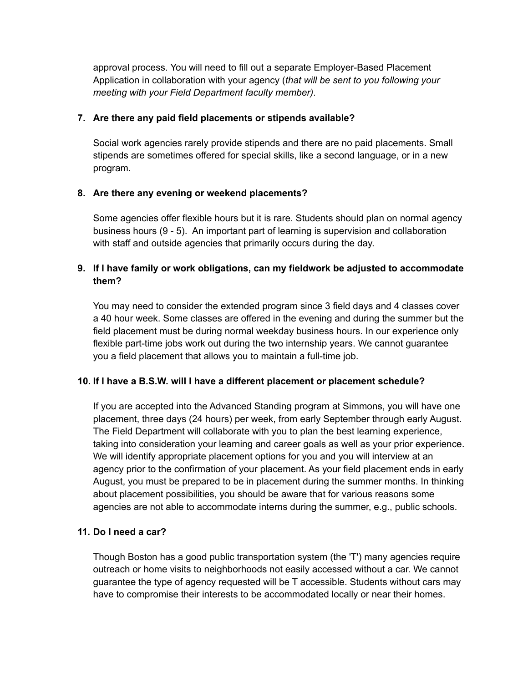approval process. You will need to fill out a separate Employer-Based Placement Application in collaboration with your agency (*that will be sent to you following your meeting with your Field Department faculty member)*.

## **7. Are there any paid field placements or stipends available?**

 Social work agencies rarely provide stipends and there are no paid placements. Small stipends are sometimes offered for special skills, like a second language, or in a new program.

## **8. Are there any evening or weekend placements?**

 Some agencies offer flexible hours but it is rare. Students should plan on normal agency business hours (9 - 5). An important part of learning is supervision and collaboration with staff and outside agencies that primarily occurs during the day.

# **9. If I have family or work obligations, can my fieldwork be adjusted to accommodate them?**

 You may need to consider the extended program since 3 field days and 4 classes cover a 40 hour week. Some classes are offered in the evening and during the summer but the field placement must be during normal weekday business hours. In our experience only flexible part-time jobs work out during the two internship years. We cannot guarantee you a field placement that allows you to maintain a full-time job.

# **10. If I have a B.S.W. will I have a different placement or placement schedule?**

 If you are accepted into the Advanced Standing program at Simmons, you will have one placement, three days (24 hours) per week, from early September through early August. The Field Department will collaborate with you to plan the best learning experience, taking into consideration your learning and career goals as well as your prior experience. We will identify appropriate placement options for you and you will interview at an agency prior to the confirmation of your placement. As your field placement ends in early August, you must be prepared to be in placement during the summer months. In thinking about placement possibilities, you should be aware that for various reasons some agencies are not able to accommodate interns during the summer, e.g., public schools.

#### **11. Do I need a car?**

 Though Boston has a good public transportation system (the 'T') many agencies require outreach or home visits to neighborhoods not easily accessed without a car. We cannot guarantee the type of agency requested will be T accessible. Students without cars may have to compromise their interests to be accommodated locally or near their homes.